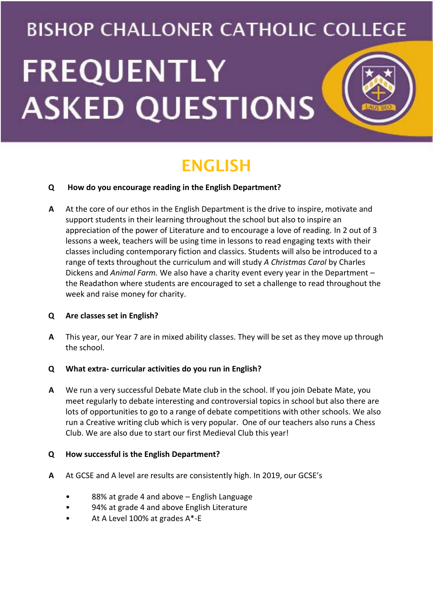# **BISHOP CHALLONER CATHOLIC COLLEGE FREQUENTLY ASKED QUESTIONS**

# ENGLISH

#### **Q How do you encourage reading in the English Department?**

**A** At the core of our ethos in the English Department is the drive to inspire, motivate and support students in their learning throughout the school but also to inspire an appreciation of the power of Literature and to encourage a love of reading. In 2 out of 3 lessons a week, teachers will be using time in lessons to read engaging texts with their classes including contemporary fiction and classics. Students will also be introduced to a range of texts throughout the curriculum and will study *A Christmas Carol* by Charles Dickens and *Animal Farm.* We also have a charity event every year in the Department – the Readathon where students are encouraged to set a challenge to read throughout the week and raise money for charity.

#### **Q Are classes set in English?**

**A** This year, our Year 7 are in mixed ability classes. They will be set as they move up through the school.

#### **Q What extra- curricular activities do you run in English?**

**A** We run a very successful Debate Mate club in the school. If you join Debate Mate, you meet regularly to debate interesting and controversial topics in school but also there are lots of opportunities to go to a range of debate competitions with other schools. We also run a Creative writing club which is very popular. One of our teachers also runs a Chess Club. We are also due to start our first Medieval Club this year!

## **Q How successful is the English Department?**

- **A** At GCSE and A level are results are consistently high. In 2019, our GCSE's
	- 88% at grade 4 and above English Language
	- 94% at grade 4 and above English Literature
	- At A Level 100% at grades A\*-E